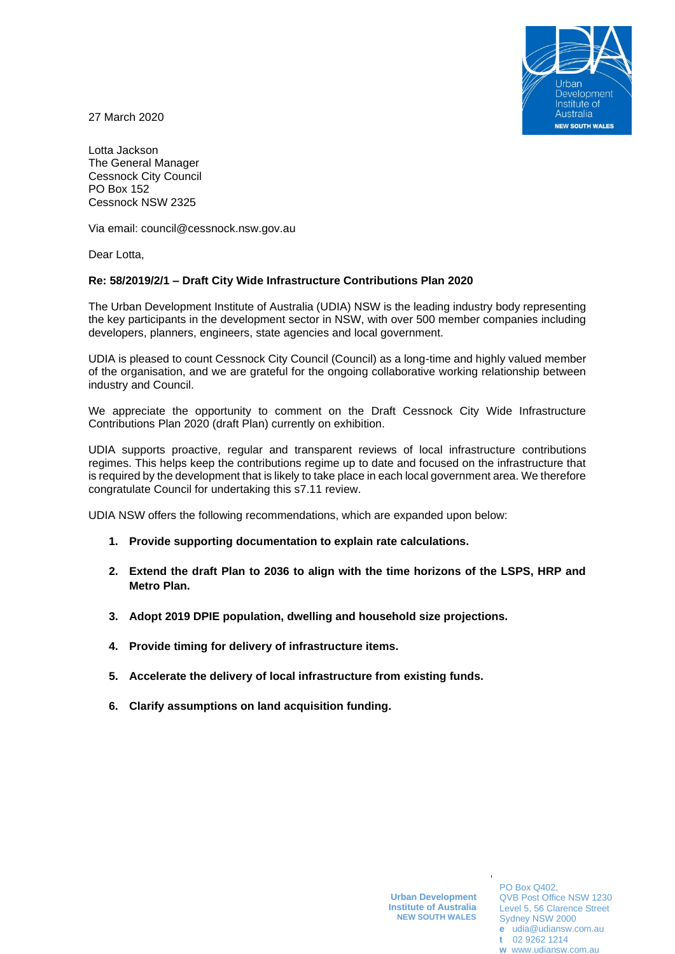

27 March 2020

Lotta Jackson The General Manager Cessnock City Council PO Box 152 Cessnock NSW 2325

Via email: council@cessnock.nsw.gov.au

Dear Lotta,

## **Re: 58/2019/2/1 – Draft City Wide Infrastructure Contributions Plan 2020**

The Urban Development Institute of Australia (UDIA) NSW is the leading industry body representing the key participants in the development sector in NSW, with over 500 member companies including developers, planners, engineers, state agencies and local government.

UDIA is pleased to count Cessnock City Council (Council) as a long-time and highly valued member of the organisation, and we are grateful for the ongoing collaborative working relationship between industry and Council.

We appreciate the opportunity to comment on the Draft Cessnock City Wide Infrastructure Contributions Plan 2020 (draft Plan) currently on exhibition.

UDIA supports proactive, regular and transparent reviews of local infrastructure contributions regimes. This helps keep the contributions regime up to date and focused on the infrastructure that is required by the development that is likely to take place in each local government area. We therefore congratulate Council for undertaking this s7.11 review.

UDIA NSW offers the following recommendations, which are expanded upon below:

- **1. Provide supporting documentation to explain rate calculations.**
- **2. Extend the draft Plan to 2036 to align with the time horizons of the LSPS, HRP and Metro Plan.**
- **3. Adopt 2019 DPIE population, dwelling and household size projections.**
- **4. Provide timing for delivery of infrastructure items.**
- **5. Accelerate the delivery of local infrastructure from existing funds.**
- **6. Clarify assumptions on land acquisition funding.**

PO Box Q402, QVB Post Office NSW 1230 Level 5, 56 Clarence Street Sydney NSW 2000 **e** [udia@udiansw.com.au](mailto:udia@udiansw.com.au) **t** 02 9262 1214

**w** [www.udiansw.com.au](http://www.udiansw.com.au/)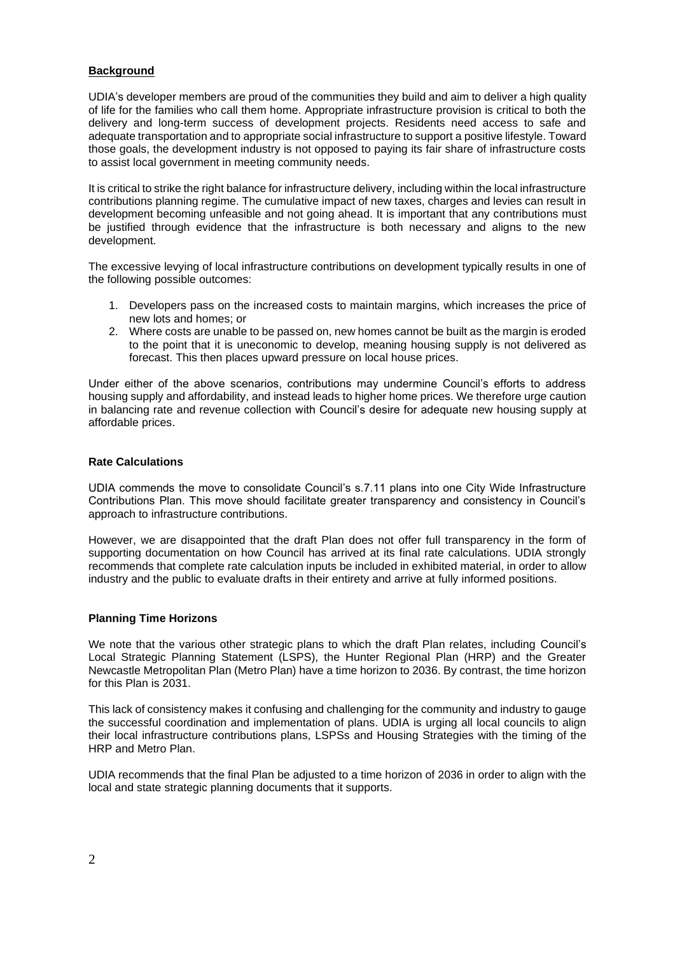## **Background**

UDIA's developer members are proud of the communities they build and aim to deliver a high quality of life for the families who call them home. Appropriate infrastructure provision is critical to both the delivery and long-term success of development projects. Residents need access to safe and adequate transportation and to appropriate social infrastructure to support a positive lifestyle. Toward those goals, the development industry is not opposed to paying its fair share of infrastructure costs to assist local government in meeting community needs.

It is critical to strike the right balance for infrastructure delivery, including within the local infrastructure contributions planning regime. The cumulative impact of new taxes, charges and levies can result in development becoming unfeasible and not going ahead. It is important that any contributions must be justified through evidence that the infrastructure is both necessary and aligns to the new development.

The excessive levying of local infrastructure contributions on development typically results in one of the following possible outcomes:

- 1. Developers pass on the increased costs to maintain margins, which increases the price of new lots and homes; or
- 2. Where costs are unable to be passed on, new homes cannot be built as the margin is eroded to the point that it is uneconomic to develop, meaning housing supply is not delivered as forecast. This then places upward pressure on local house prices.

Under either of the above scenarios, contributions may undermine Council's efforts to address housing supply and affordability, and instead leads to higher home prices. We therefore urge caution in balancing rate and revenue collection with Council's desire for adequate new housing supply at affordable prices.

### **Rate Calculations**

UDIA commends the move to consolidate Council's s.7.11 plans into one City Wide Infrastructure Contributions Plan. This move should facilitate greater transparency and consistency in Council's approach to infrastructure contributions.

However, we are disappointed that the draft Plan does not offer full transparency in the form of supporting documentation on how Council has arrived at its final rate calculations. UDIA strongly recommends that complete rate calculation inputs be included in exhibited material, in order to allow industry and the public to evaluate drafts in their entirety and arrive at fully informed positions.

### **Planning Time Horizons**

We note that the various other strategic plans to which the draft Plan relates, including Council's Local Strategic Planning Statement (LSPS), the Hunter Regional Plan (HRP) and the Greater Newcastle Metropolitan Plan (Metro Plan) have a time horizon to 2036. By contrast, the time horizon for this Plan is 2031.

This lack of consistency makes it confusing and challenging for the community and industry to gauge the successful coordination and implementation of plans. UDIA is urging all local councils to align their local infrastructure contributions plans, LSPSs and Housing Strategies with the timing of the HRP and Metro Plan.

UDIA recommends that the final Plan be adjusted to a time horizon of 2036 in order to align with the local and state strategic planning documents that it supports.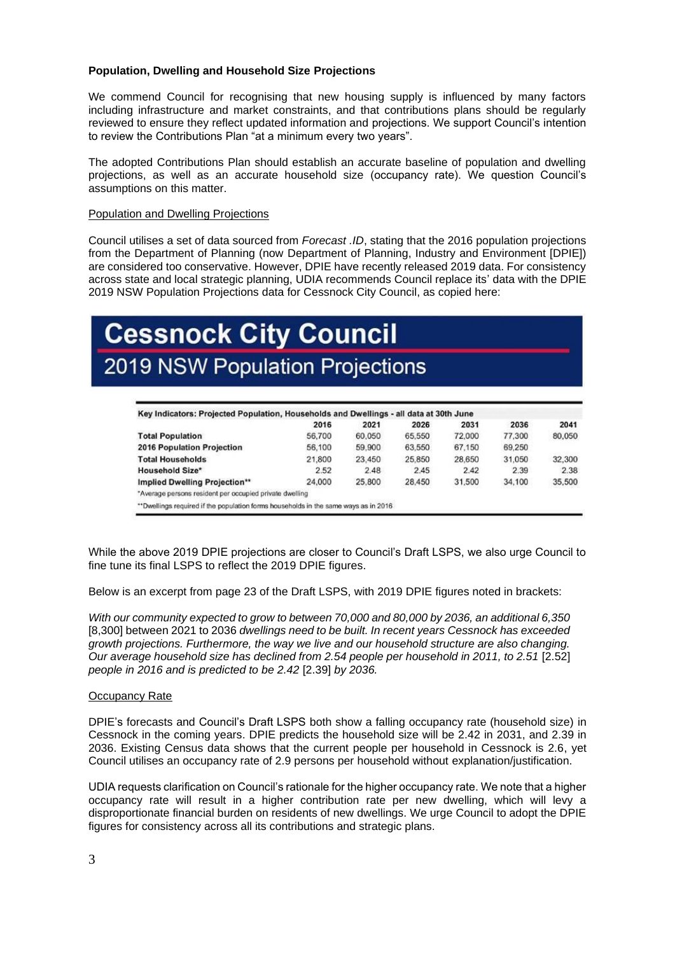## **Population, Dwelling and Household Size Projections**

We commend Council for recognising that new housing supply is influenced by many factors including infrastructure and market constraints, and that contributions plans should be regularly reviewed to ensure they reflect updated information and projections. We support Council's intention to review the Contributions Plan "at a minimum every two years".

The adopted Contributions Plan should establish an accurate baseline of population and dwelling projections, as well as an accurate household size (occupancy rate). We question Council's assumptions on this matter.

## Population and Dwelling Projections

Council utilises a set of data sourced from *Forecast .ID*, stating that the 2016 population projections from the Department of Planning (now Department of Planning, Industry and Environment [DPIE]) are considered too conservative. However, DPIE have recently released 2019 data. For consistency across state and local strategic planning, UDIA recommends Council replace its' data with the DPIE 2019 NSW Population Projections data for Cessnock City Council, as copied here:

# **Cessnock City Council 2019 NSW Population Projections**

| 2016   | 2021   | 2026   | 2031   | 2036   | 2041   |
|--------|--------|--------|--------|--------|--------|
| 56,700 | 60,050 | 65,550 | 72,000 | 77,300 | 80,050 |
| 56,100 | 59,900 | 63,550 | 67,150 | 69,250 |        |
| 21,800 | 23.450 | 25,850 | 28.650 | 31.050 | 32,300 |
| 2.52   | 2.48   | 2.45   | 2.42   | 2.39   | 2.38   |
| 24,000 | 25,800 | 28,450 | 31,500 | 34,100 | 35,500 |
|        |        |        |        |        |        |

While the above 2019 DPIE projections are closer to Council's Draft LSPS, we also urge Council to fine tune its final LSPS to reflect the 2019 DPIE figures.

Below is an excerpt from page 23 of the Draft LSPS, with 2019 DPIE figures noted in brackets:

*With our community expected to grow to between 70,000 and 80,000 by 2036, an additional 6,350*  [8,300] between 2021 to 2036 *dwellings need to be built. In recent years Cessnock has exceeded growth projections. Furthermore, the way we live and our household structure are also changing. Our average household size has declined from 2.54 people per household in 2011, to 2.51* [2.52] *people in 2016 and is predicted to be 2.42* [2.39] *by 2036.*

### Occupancy Rate

DPIE's forecasts and Council's Draft LSPS both show a falling occupancy rate (household size) in Cessnock in the coming years. DPIE predicts the household size will be 2.42 in 2031, and 2.39 in 2036. Existing Census data shows that the current people per household in Cessnock is 2.6, yet Council utilises an occupancy rate of 2.9 persons per household without explanation/justification.

UDIA requests clarification on Council's rationale for the higher occupancy rate. We note that a higher occupancy rate will result in a higher contribution rate per new dwelling, which will levy a disproportionate financial burden on residents of new dwellings. We urge Council to adopt the DPIE figures for consistency across all its contributions and strategic plans.